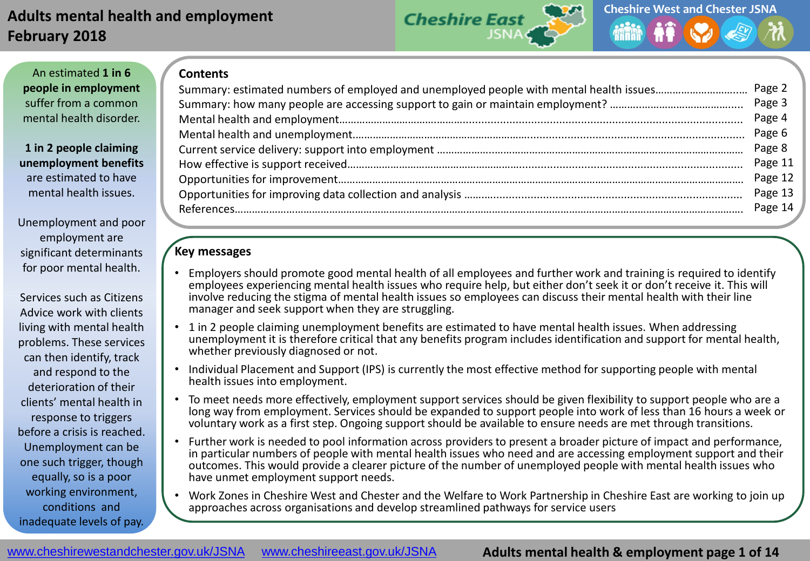

An estimated **1 in 6 people in employment**  suffer from a common mental health disorder.

**1 in 2 people claiming unemployment benefits**  are estimated to have mental health issues.

Unemployment and poor employment are significant determinants for poor mental health.

Services such as Citizens Advice work with clients living with mental health problems. These services can then identify, track and respond to the deterioration of their clients' mental health in response to triggers before a crisis is reached. Unemployment can be one such trigger, though equally, so is a poor working environment, conditions and inadequate levels of pay.

|  | Page 3  |
|--|---------|
|  | Page 4  |
|  | Page 6  |
|  | Page 8  |
|  | Page 11 |
|  | Page 12 |
|  |         |
|  | Page 14 |
|  |         |

# **Key messages**

**Contents**

- Employers should promote good mental health of all employees and further work and training is required to identify employees experiencing mental health issues who require help, but either don't seek it or don't receive it. This will involve reducing the stigma of mental health issues so employees can discuss their mental health with their line manager and seek support when they are struggling.
- 1 in 2 people claiming unemployment benefits are estimated to have mental health issues. When addressing unemployment it is therefore critical that any benefits program includes identification and support for mental health, whether previously diagnosed or not.
- Individual Placement and Support (IPS) is currently the most effective method for supporting people with mental health issues into employment.
- To meet needs more effectively, employment support services should be given flexibility to support people who are a long way from employment. Services should be expanded to support people into work of less than 16 hours a week or voluntary work as a first step. Ongoing support should be available to ensure needs are met through transitions.
- Further work is needed to pool information across providers to present a broader picture of impact and performance, in particular numbers of people with mental health issues who need and are accessing employment support and their outcomes. This would provide a clearer picture of the number of unemployed people with mental health issues who have unmet employment support needs.
- Work Zones in Cheshire West and Chester and the Welfare to Work Partnership in Cheshire East are working to join up approaches across organisations and develop streamlined pathways for service users

### **Adults mental health & employment page 1 of 14**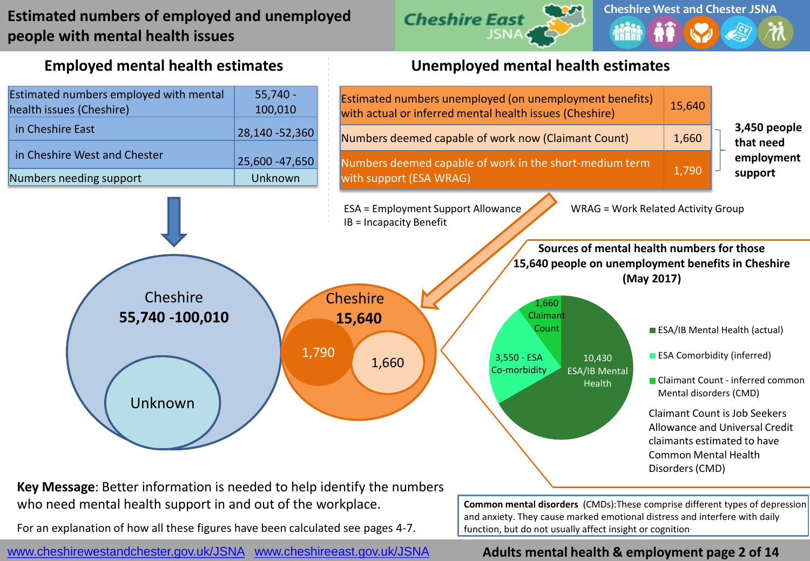# **Estimated numbers of employed and unemployed people with mental health issues**





**Employed mental health estimates Unemployed mental health estimates**

**Key Message**: Better information is needed to help identify the numbers who need mental health support in and out of the workplace. **Common mental disorders** (CMDs): These comprise different types of depression

For an explanation of how all these figures have been calculated see pages 4-7.

www.cheshirewestandchester.gov.uk/JSNA [www.cheshireeast.gov.uk/JSNA](http://www.cheshireeast.gov.uk/JSNA)

and anxiety. They cause marked emotional distress and interfere with daily function, but do not usually affect insight or cognition.

# **Adults mental health & employment page 2 of 14**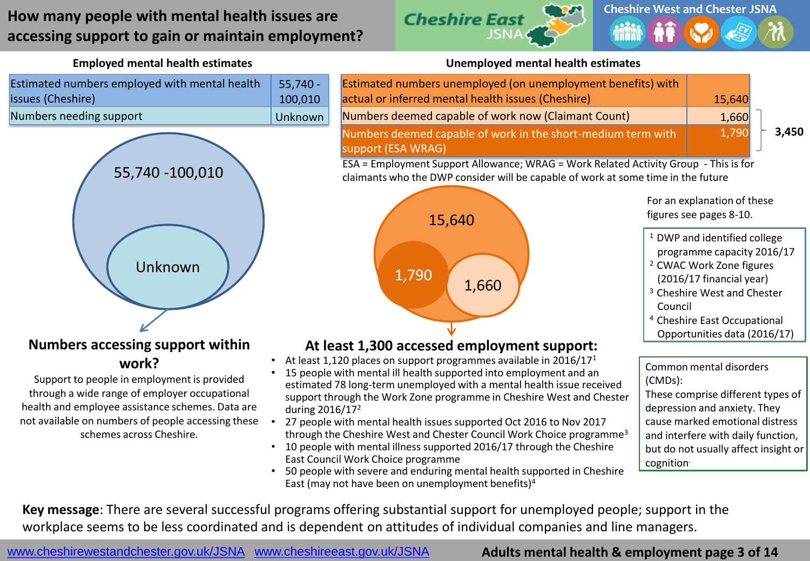# **How many people with mental health issues are accessing support to gain or maintain employment?**



| Estimated numbers employed with mental health | $55,740 -$ |
|-----------------------------------------------|------------|
| issues (Cheshire)                             | 100.010    |
| Numbers needing support                       | Unknown    |



### **Numbers accessing support within work?**

Support to people in employment is provided through a wide range of employer occupational health and employee assistance schemes. Data are not available on numbers of people accessing these schemes across Cheshire.

#### **Employed mental health estimates Unemployed mental health estimates**

| Estimated numbers unemployed (on unemployment benefits) with                           |        |       |  |
|----------------------------------------------------------------------------------------|--------|-------|--|
| actual or inferred mental health issues (Cheshire)                                     | 15,640 |       |  |
| Numbers deemed capable of work now (Claimant Count)                                    | 1,660  |       |  |
| Numbers deemed capable of work in the short-medium term with                           | 1,790  | 3,450 |  |
| support (ESA WRAG)                                                                     |        |       |  |
| $FSA = Fmnlovment Sunport Allovance: WPRG = Work Palated Activity Group = This is for$ |        |       |  |

ESA = Employment Support Allowance; WRAG = Work Related Activity Group - This is for claimants who the DWP consider will be capable of work at some time in the future



For an explanation of these figures see pages 8-10.

- <sup>1</sup> DWP and identified college programme capacity 2016/17
- <sup>2</sup> CWAC Work Zone figures (2016/17 financial year)
- <sup>3</sup> Cheshire West and Chester Council
- <sup>4</sup> Cheshire East Occupational

#### Opportunities data (2016/17)

Common mental disorders (CMDs): These comprise different types of depression and anxiety. They cause marked emotional distress and interfere with daily function, but do not usually affect insight or cognition.

East Council Work Choice programme • 50 people with severe and enduring mental health supported in Cheshire East (may not have been on unemployment benefits)<sup>4</sup>

• 27 people with mental health issues supported Oct 2016 to Nov 2017 through the Cheshire West and Chester Council Work Choice programme<sup>3</sup> • 10 people with mental illness supported 2016/17 through the Cheshire

• At least 1,120 places on support programmes available in  $2016/17<sup>1</sup>$ • 15 people with mental ill health supported into employment and an estimated 78 long-term unemployed with a mental health issue received support through the Work Zone programme in Cheshire West and Chester

**Key message**: There are several successful programs offering substantial support for unemployed people; support in the workplace seems to be less coordinated and is dependent on attitudes of individual companies and line managers.

during 2016/17<sup>2</sup>

www.cheshirewestandchester.gov.uk/JSNA [www.cheshireeast.gov.uk/JSNA](http://www.cheshireeast.gov.uk/JSNA)

**Adults mental health & employment page 3 of 14**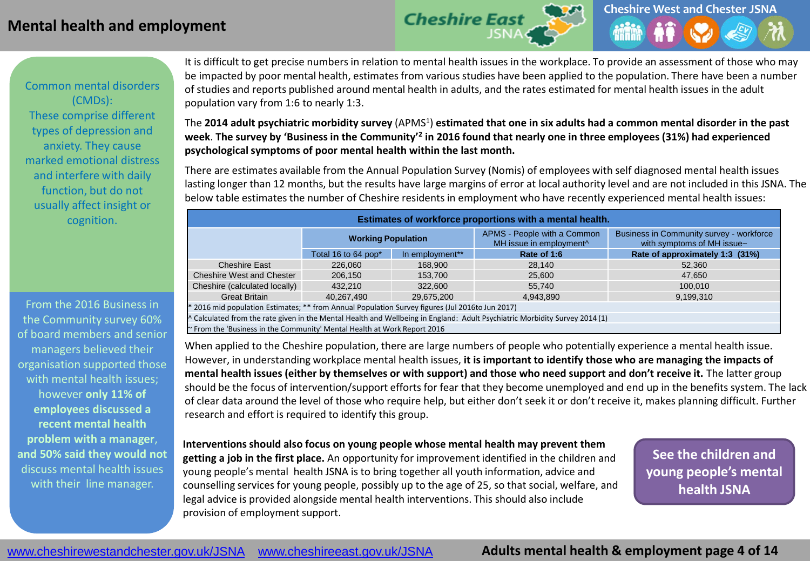# **Mental health and employment**



Common mental disorders (CMDs): These comprise different types of depression and anxiety. They cause marked emotional distress and interfere with daily function, but do not usually affect insight or cognition.

From the 2016 Business in the Community survey 60% of board members and senior managers believed their organisation supported those with mental health issues; however **only 11% of employees discussed a recent mental health problem with a manager**, **and 50% said they would not**  discuss mental health issues with their line manager.

It is difficult to get precise numbers in relation to mental health issues in the workplace. To provide an assessment of those who may be impacted by poor mental health, estimates from various studies have been applied to the population. There have been a number of studies and reports published around mental health in adults, and the rates estimated for mental health issues in the adult population vary from 1:6 to nearly 1:3.

The 2014 adult psychiatric morbidity survey (APMS<sup>1</sup>) estimated that one in six adults had a common mental disorder in the past week. The survey by 'Business in the Community'<sup>2</sup> in 2016 found that nearly one in three employees (31%) had experienced **psychological symptoms of poor mental health within the last month.**

There are estimates available from the Annual Population Survey (Nomis) of employees with self diagnosed mental health issues lasting longer than 12 months, but the results have large margins of error at local authority level and are not included in this JSNA. The below table estimates the number of Cheshire residents in employment who have recently experienced mental health issues:

|                                                                               | Estimates of workforce proportions with a mental health.                                                                    |                                                                    |                                                                        |                                 |  |  |
|-------------------------------------------------------------------------------|-----------------------------------------------------------------------------------------------------------------------------|--------------------------------------------------------------------|------------------------------------------------------------------------|---------------------------------|--|--|
| <b>Working Population</b>                                                     |                                                                                                                             | APMS - People with a Common<br>MH issue in employment <sup>^</sup> | Business in Community survey - workforce<br>with symptoms of MH issue~ |                                 |  |  |
|                                                                               | Total 16 to 64 pop*                                                                                                         | In employment**                                                    | Rate of 1:6                                                            | Rate of approximately 1:3 (31%) |  |  |
| <b>Cheshire East</b>                                                          | 226,060                                                                                                                     | 168,900                                                            | 28.140                                                                 | 52,360                          |  |  |
| <b>Cheshire West and Chester</b>                                              | 206.150                                                                                                                     | 153,700                                                            | 25,600                                                                 | 47,650                          |  |  |
| Cheshire (calculated locally)                                                 | 432,210                                                                                                                     | 322,600                                                            | 55.740                                                                 | 100.010                         |  |  |
| <b>Great Britain</b>                                                          | 40.267.490                                                                                                                  | 29.675.200                                                         | 4.943.890                                                              | 9,199,310                       |  |  |
|                                                                               | * 2016 mid population Estimates; ** from Annual Population Survey figures (Jul 2016to Jun 2017)                             |                                                                    |                                                                        |                                 |  |  |
|                                                                               | ^ Calculated from the rate given in the Mental Health and Wellbeing in England: Adult Psychiatric Morbidity Survey 2014 (1) |                                                                    |                                                                        |                                 |  |  |
| $\sim$ From the 'Business in the Community' Mental Health at Work Report 2016 |                                                                                                                             |                                                                    |                                                                        |                                 |  |  |

When applied to the Cheshire population, there are large numbers of people who potentially experience a mental health issue. However, in understanding workplace mental health issues, **it is important to identify those who are managing the impacts of mental health issues (either by themselves or with support) and those who need support and don't receive it.** The latter group should be the focus of intervention/support efforts for fear that they become unemployed and end up in the benefits system. The lack of clear data around the level of those who require help, but either don't seek it or don't receive it, makes planning difficult. Further research and effort is required to identify this group.

**Interventions should also focus on young people whose mental health may prevent them getting a job in the first place.** An opportunity for improvement identified in the children and young people's mental health JSNA is to bring together all youth information, advice and counselling services for young people, possibly up to the age of 25, so that social, welfare, and legal advice is provided alongside mental health interventions. This should also include provision of employment support.

**See the children and young people's mental health JSNA**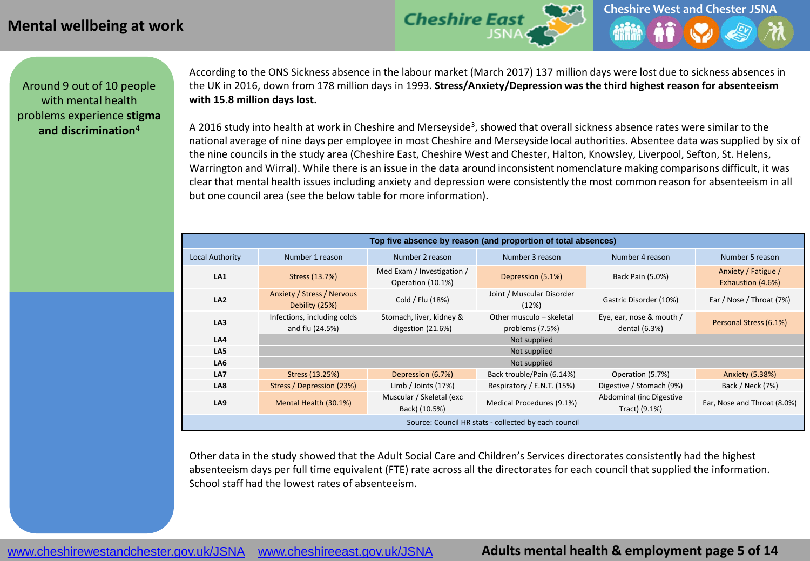# **Mental wellbeing at work**



Around 9 out of 10 people with mental health problems experience **stigma and discrimination**<sup>4</sup>

According to the ONS Sickness absence in the labour market (March 2017) 137 million days were lost due to sickness absences in the UK in 2016, down from 178 million days in 1993. **Stress/Anxiety/Depression was the third highest reason for absenteeism with 15.8 million days lost.**

A 2016 study into health at work in Cheshire and Merseyside<sup>3</sup>, showed that overall sickness absence rates were similar to the national average of nine days per employee in most Cheshire and Merseyside local authorities. Absentee data was supplied by six of the nine councils in the study area (Cheshire East, Cheshire West and Chester, Halton, Knowsley, Liverpool, Sefton, St. Helens, Warrington and Wirral). While there is an issue in the data around inconsistent nomenclature making comparisons difficult, it was clear that mental health issues including anxiety and depression were consistently the most common reason for absenteeism in all but one council area (see the below table for more information).

| Top five absence by reason (and proportion of total absences)                   |                                                |                                                 |                                             |                                           |                                          |
|---------------------------------------------------------------------------------|------------------------------------------------|-------------------------------------------------|---------------------------------------------|-------------------------------------------|------------------------------------------|
| <b>Local Authority</b><br>Number 3 reason<br>Number 1 reason<br>Number 2 reason |                                                |                                                 |                                             | Number 4 reason                           | Number 5 reason                          |
| LA <sub>1</sub>                                                                 | Stress (13.7%)                                 | Med Exam / Investigation /<br>Operation (10.1%) | Depression (5.1%)                           | Back Pain (5.0%)                          | Anxiety / Fatigue /<br>Exhaustion (4.6%) |
| LA <sub>2</sub>                                                                 | Anxiety / Stress / Nervous<br>Debility (25%)   | Cold / Flu (18%)                                | Joint / Muscular Disorder<br>(12%)          | Gastric Disorder (10%)                    | Ear / Nose / Throat (7%)                 |
| LA3                                                                             | Infections, including colds<br>and flu (24.5%) | Stomach, liver, kidney &<br>digestion (21.6%)   | Other musculo - skeletal<br>problems (7.5%) | Eye, ear, nose & mouth /<br>dental (6.3%) | Personal Stress (6.1%)                   |
| LA4                                                                             |                                                |                                                 | Not supplied                                |                                           |                                          |
| LA5                                                                             |                                                |                                                 | Not supplied                                |                                           |                                          |
| LA6                                                                             |                                                |                                                 | Not supplied                                |                                           |                                          |
| LA7                                                                             | Stress (13.25%)                                | Depression (6.7%)                               | Back trouble/Pain (6.14%)                   | Operation (5.7%)                          | Anxiety (5.38%)                          |
| LA8                                                                             | Stress / Depression (23%)                      | Limb / Joints $(17%)$                           | Respiratory / E.N.T. (15%)                  | Digestive / Stomach (9%)                  | Back / Neck (7%)                         |
| LA <sub>9</sub>                                                                 | Mental Health (30.1%)                          | Muscular / Skeletal (exc<br>Back) (10.5%)       | Medical Procedures (9.1%)                   | Abdominal (inc Digestive<br>Tract) (9.1%) | Ear, Nose and Throat (8.0%)              |
| Source: Council HR stats - collected by each council                            |                                                |                                                 |                                             |                                           |                                          |

Other data in the study showed that the Adult Social Care and Children's Services directorates consistently had the highest absenteeism days per full time equivalent (FTE) rate across all the directorates for each council that supplied the information. School staff had the lowest rates of absenteeism.

# **Adults mental health & employment page 5 of 14**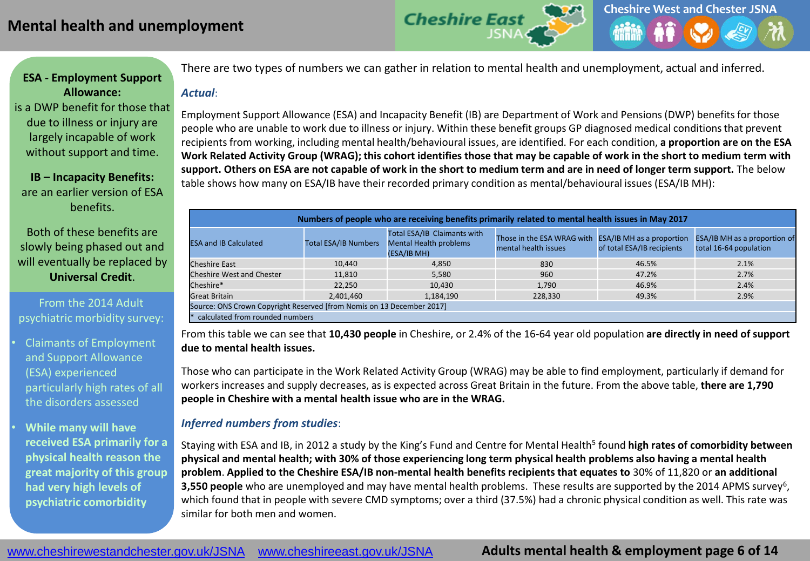

# **ESA - Employment Support Allowance:**

is a DWP benefit for those that due to illness or injury are largely incapable of work without support and time.

**IB – Incapacity Benefits:**  are an earlier version of ESA benefits.

Both of these benefits are slowly being phased out and will eventually be replaced by **Universal Credit**.

From the 2014 Adult psychiatric morbidity survey:

• Claimants of Employment and Support Allowance (ESA) experienced particularly high rates of all the disorders assessed

• **While many will have received ESA primarily for a physical health reason the great majority of this group had very high levels of psychiatric comorbidity**

There are two types of numbers we can gather in relation to mental health and unemployment, actual and inferred.

#### *Actual*:

Employment Support Allowance (ESA) and Incapacity Benefit (IB) are Department of Work and Pensions (DWP) benefits for those people who are unable to work due to illness or injury. Within these benefit groups GP diagnosed medical conditions that prevent recipients from working, including mental health/behavioural issues, are identified. For each condition, **a proportion are on the ESA Work Related Activity Group (WRAG); this cohort identifies those that may be capable of work in the short to medium term with support. Others on ESA are not capable of work in the short to medium term and are in need of longer term support.** The below table shows how many on ESA/IB have their recorded primary condition as mental/behavioural issues (ESA/IB MH):

|                                                             | Numbers of people who are receiving benefits primarily related to mental health issues in May 2017 |                                                                             |                                                                              |                            |                                                               |
|-------------------------------------------------------------|----------------------------------------------------------------------------------------------------|-----------------------------------------------------------------------------|------------------------------------------------------------------------------|----------------------------|---------------------------------------------------------------|
| <b>Total ESA/IB Numbers</b><br><b>ESA and IB Calculated</b> |                                                                                                    | Total ESA/IB Claimants with<br><b>Mental Health problems</b><br>(ESA/IB MH) | Those in the ESA WRAG with ESA/IB MH as a proportion<br>mental health issues | of total ESA/IB recipients | <b>ESA/IB MH</b> as a proportion of<br>total 16-64 population |
| <b>Cheshire East</b>                                        | 10.440                                                                                             | 4.850                                                                       | 830                                                                          | 46.5%                      | 2.1%                                                          |
| Cheshire West and Chester                                   | 11.810                                                                                             | 5.580                                                                       | 960                                                                          | 47.2%                      | 2.7%                                                          |
| Cheshire*                                                   | 22.250                                                                                             | 10.430                                                                      | 1.790                                                                        | 46.9%                      | 2.4%                                                          |
| <b>Great Britain</b>                                        | 2.401.460                                                                                          | 1,184,190                                                                   | 228.330                                                                      | 49.3%                      | 2.9%                                                          |
|                                                             | Source: ONS Crown Copyright Reserved [from Nomis on 13 December 2017]                              |                                                                             |                                                                              |                            |                                                               |
|                                                             | calculated from rounded numbers                                                                    |                                                                             |                                                                              |                            |                                                               |

From this table we can see that **10,430 people** in Cheshire, or 2.4% of the 16-64 year old population **are directly in need of support due to mental health issues.** 

Those who can participate in the Work Related Activity Group (WRAG) may be able to find employment, particularly if demand for workers increases and supply decreases, as is expected across Great Britain in the future. From the above table, **there are 1,790 people in Cheshire with a mental health issue who are in the WRAG.**

#### *Inferred numbers from studies*:

Staying with ESA and IB, in 2012 a study by the King's Fund and Centre for Mental Health<sup>5</sup> found **high rates of comorbidity between physical and mental health; with 30% of those experiencing long term physical health problems also having a mental health problem**. **Applied to the Cheshire ESA/IB non-mental health benefits recipients that equates to** 30% of 11,820 or **an additional**  3,550 people who are unemployed and may have mental health problems. These results are supported by the 2014 APMS survey<sup>6</sup>, which found that in people with severe CMD symptoms; over a third (37.5%) had a chronic physical condition as well. This rate was similar for both men and women.

# **Adults mental health & employment page 6 of 14**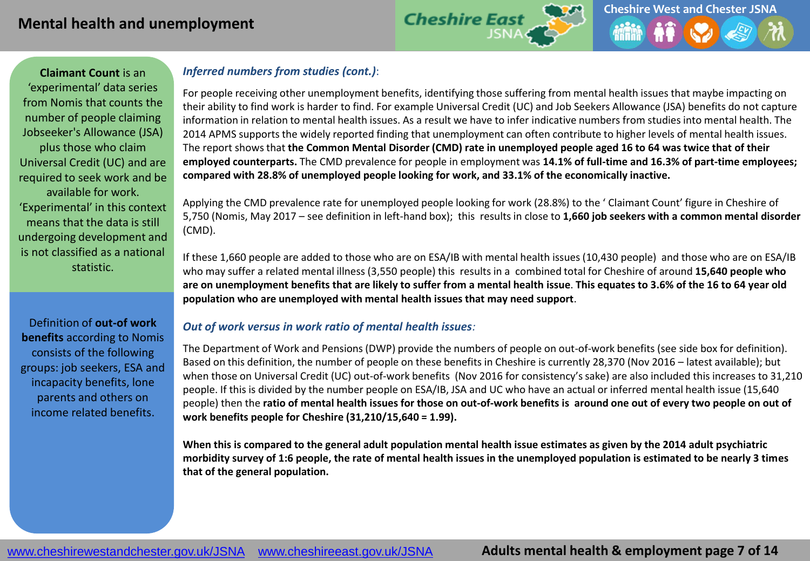

**Claimant Count** is an 'experimental' data series from Nomis that counts the number of people claiming Jobseeker's Allowance (JSA) plus those who claim Universal Credit (UC) and are required to seek work and be available for work. 'Experimental' in this context means that the data is still undergoing development and is not classified as a national statistic.

Definition of **out-of work benefits** according to Nomis consists of the following groups: job seekers, ESA and incapacity benefits, lone parents and others on income related benefits.

### *Inferred numbers from studies (cont.)*:

For people receiving other unemployment benefits, identifying those suffering from mental health issues that maybe impacting on their ability to find work is harder to find. For example Universal Credit (UC) and Job Seekers Allowance (JSA) benefits do not capture information in relation to mental health issues. As a result we have to infer indicative numbers from studies into mental health. The 2014 APMS supports the widely reported finding that unemployment can often contribute to higher levels of mental health issues. The report shows that **the Common Mental Disorder (CMD) rate in unemployed people aged 16 to 64 was twice that of their employed counterparts.** The CMD prevalence for people in employment was **14.1% of full-time and 16.3% of part-time employees; compared with 28.8% of unemployed people looking for work, and 33.1% of the economically inactive.** 

Applying the CMD prevalence rate for unemployed people looking for work (28.8%) to the ' Claimant Count' figure in Cheshire of 5,750 (Nomis, May 2017 – see definition in left-hand box); this results in close to **1,660 job seekers with a common mental disorder** (CMD).

If these 1,660 people are added to those who are on ESA/IB with mental health issues (10,430 people) and those who are on ESA/IB who may suffer a related mental illness (3,550 people) this results in a combined total for Cheshire of around **15,640 people who are on unemployment benefits that are likely to suffer from a mental health issue**. **This equates to 3.6% of the 16 to 64 year old population who are unemployed with mental health issues that may need support**.

#### *Out of work versus in work ratio of mental health issues:*

The Department of Work and Pensions (DWP) provide the numbers of people on out-of-work benefits (see side box for definition). Based on this definition, the number of people on these benefits in Cheshire is currently 28,370 (Nov 2016 – latest available); but when those on Universal Credit (UC) out-of-work benefits (Nov 2016 for consistency's sake) are also included this increases to 31,210 people. If this is divided by the number people on ESA/IB, JSA and UC who have an actual or inferred mental health issue (15,640 people) then the **ratio of mental health issues for those on out-of-work benefits is around one out of every two people on out of work benefits people for Cheshire (31,210/15,640 = 1.99).**

**When this is compared to the general adult population mental health issue estimates as given by the 2014 adult psychiatric morbidity survey of 1:6 people, the rate of mental health issues in the unemployed population is estimated to be nearly 3 times that of the general population.**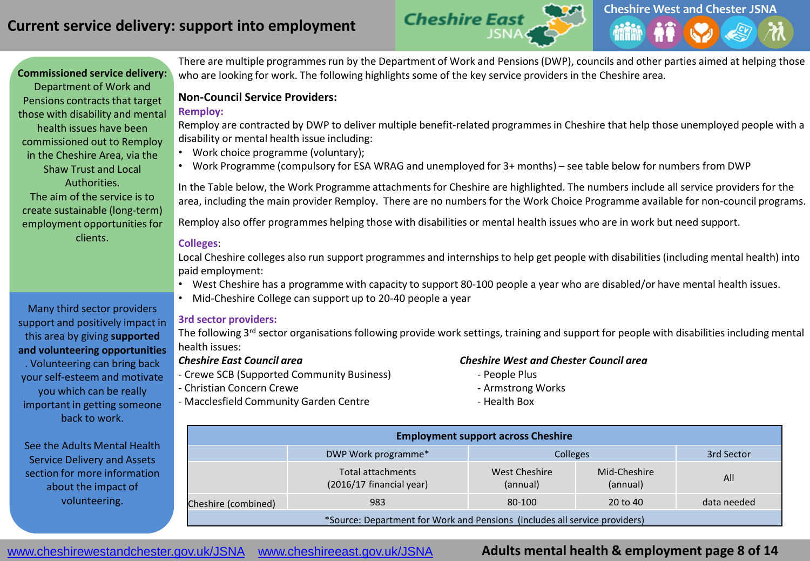

**Commissioned service delivery:** Department of Work and Pensions contracts that target those with disability and mental health issues have been commissioned out to Remploy in the Cheshire Area, via the Shaw Trust and Local Authorities. The aim of the service is to create sustainable (long-term) employment opportunities for clients.

Many third sector providers support and positively impact in this area by giving **supported and volunteering opportunities**  . Volunteering can bring back your self-esteem and motivate you which can be really important in getting someone back to work.

See the Adults Mental Health Service Delivery and Assets section for more information about the impact of volunteering.

There are multiple programmes run by the Department of Work and Pensions (DWP), councils and other parties aimed at helping those who are looking for work. The following highlights some of the key service providers in the Cheshire area.

#### **Non-Council Service Providers:**

#### **Remploy:**

Remploy are contracted by DWP to deliver multiple benefit-related programmes in Cheshire that help those unemployed people with a disability or mental health issue including:

- Work choice programme (voluntary);
- Work Programme (compulsory for ESA WRAG and unemployed for 3+ months) see table below for numbers from DWP

In the Table below, the Work Programme attachments for Cheshire are highlighted. The numbers include all service providers for the area, including the main provider Remploy. There are no numbers for the Work Choice Programme available for non-council programs.

Remploy also offer programmes helping those with disabilities or mental health issues who are in work but need support.

#### **Colleges**:

Local Cheshire colleges also run support programmes and internships to help get people with disabilities (including mental health) into paid employment:

- West Cheshire has a programme with capacity to support 80-100 people a year who are disabled/or have mental health issues.
- Mid-Cheshire College can support up to 20-40 people a year

#### **3rd sector providers:**

The following 3<sup>rd</sup> sector organisations following provide work settings, training and support for people with disabilities including mental health issues:

- Crewe SCB (Supported Community Business) People Plus
- Christian Concern Crewe Armstrong Works Armstrong Works
- Macclesfield Community Garden Centre **Access 19 and Acceleration** Health Box

#### *Cheshire East Council area Cheshire West and Chester Council area*

- 
- 
- 

|                                                                            |                     |                                               | <b>Employment support across Cheshire</b> |                          |             |
|----------------------------------------------------------------------------|---------------------|-----------------------------------------------|-------------------------------------------|--------------------------|-------------|
| :h                                                                         |                     | DWP Work programme*                           | <b>Colleges</b>                           |                          | 3rd Sector  |
| n.                                                                         |                     | Total attachments<br>(2016/17 financial year) | West Cheshire<br>(annual)                 | Mid-Cheshire<br>(annual) | All         |
|                                                                            | Cheshire (combined) | 983                                           | 80-100                                    | 20 to 40                 | data needed |
| *Source: Department for Work and Pensions (includes all service providers) |                     |                                               |                                           |                          |             |

www.cheshirewestandchester.gov.uk/JSNA [www.cheshireeast.gov.uk/JSNA](http://www.cheshireeast.gov.uk/JSNA)

# **Adults mental health & employment page 8 of 14**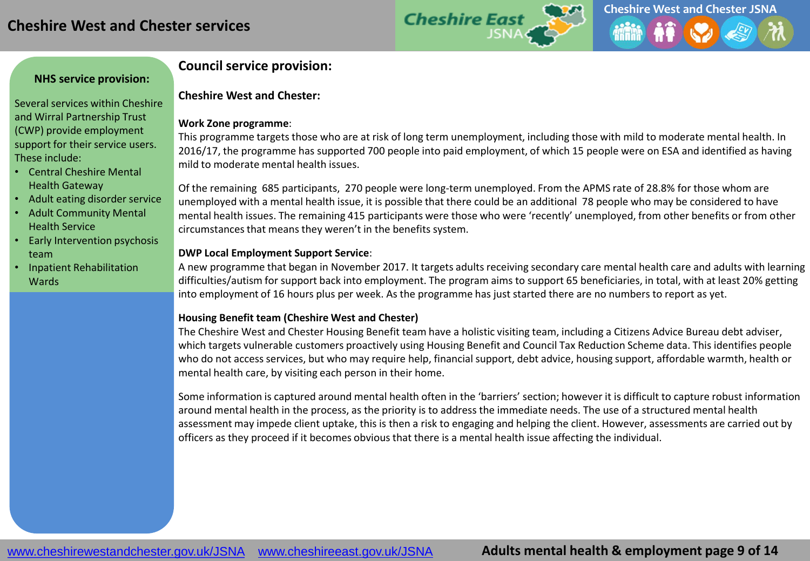

#### **NHS service provision:**

Several services within Cheshire and Wirral Partnership Trust (CWP) provide employment support for their service users. These include:

- Central Cheshire Mental Health Gateway
- Adult eating disorder service
- Adult Community Mental Health Service
- Early Intervention psychosis team
- Inpatient Rehabilitation Wards

# **Council service provision:**

#### **Cheshire West and Chester:**

#### **Work Zone programme**:

This programme targets those who are at risk of long term unemployment, including those with mild to moderate mental health. In 2016/17, the programme has supported 700 people into paid employment, of which 15 people were on ESA and identified as having mild to moderate mental health issues.

Of the remaining 685 participants, 270 people were long-term unemployed. From the APMS rate of 28.8% for those whom are unemployed with a mental health issue, it is possible that there could be an additional 78 people who may be considered to have mental health issues. The remaining 415 participants were those who were 'recently' unemployed, from other benefits or from other circumstances that means they weren't in the benefits system.

#### **DWP Local Employment Support Service**:

A new programme that began in November 2017. It targets adults receiving secondary care mental health care and adults with learning difficulties/autism for support back into employment. The program aims to support 65 beneficiaries, in total, with at least 20% getting into employment of 16 hours plus per week. As the programme has just started there are no numbers to report as yet.

#### **Housing Benefit team (Cheshire West and Chester)**

The Cheshire West and Chester Housing Benefit team have a holistic visiting team, including a Citizens Advice Bureau debt adviser, which targets vulnerable customers proactively using Housing Benefit and Council Tax Reduction Scheme data. This identifies people who do not access services, but who may require help, financial support, debt advice, housing support, affordable warmth, health or mental health care, by visiting each person in their home.

Some information is captured around mental health often in the 'barriers' section; however it is difficult to capture robust information around mental health in the process, as the priority is to address the immediate needs. The use of a structured mental health assessment may impede client uptake, this is then a risk to engaging and helping the client. However, assessments are carried out by officers as they proceed if it becomes obvious that there is a mental health issue affecting the individual.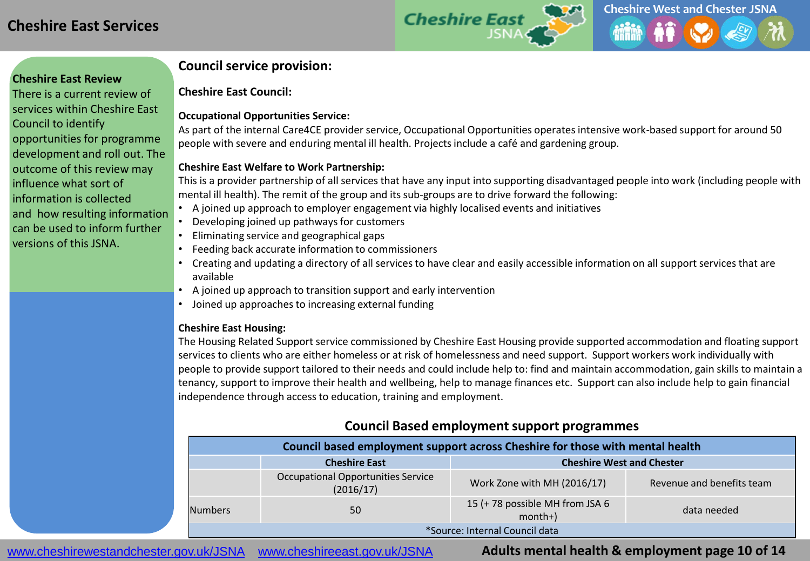

#### **Cheshire East Review**

There is a current review of services within Cheshire East Council to identify opportunities for programme development and roll out. The outcome of this review may influence what sort of information is collected and how resulting information can be used to inform further versions of this JSNA.

#### **Council service provision:**

**Cheshire East Council:**

#### **Occupational Opportunities Service:**

As part of the internal Care4CE provider service, Occupational Opportunities operates intensive work-based support for around 50 people with severe and enduring mental ill health. Projects include a café and gardening group.

#### **Cheshire East Welfare to Work Partnership:**

This is a provider partnership of all services that have any input into supporting disadvantaged people into work (including people with mental ill health). The remit of the group and its sub-groups are to drive forward the following:

- A joined up approach to employer engagement via highly localised events and initiatives
- Developing joined up pathways for customers
- Eliminating service and geographical gaps
- Feeding back accurate information to commissioners
- Creating and updating a directory of all services to have clear and easily accessible information on all support services that are available
- A joined up approach to transition support and early intervention
- Joined up approaches to increasing external funding

#### **Cheshire East Housing:**

The Housing Related Support service commissioned by Cheshire East Housing provide supported accommodation and floating support services to clients who are either homeless or at risk of homelessness and need support. Support workers work individually with people to provide support tailored to their needs and could include help to: find and maintain accommodation, gain skills to maintain a tenancy, support to improve their health and wellbeing, help to manage finances etc. Support can also include help to gain financial independence through access to education, training and employment.

# **Council Based employment support programmes**

| Council based employment support across Cheshire for those with mental health |                                                          |                                             |                           |  |  |
|-------------------------------------------------------------------------------|----------------------------------------------------------|---------------------------------------------|---------------------------|--|--|
|                                                                               | <b>Cheshire West and Chester</b><br><b>Cheshire East</b> |                                             |                           |  |  |
| <b>Occupational Opportunities Service</b><br>(2016/17)                        |                                                          | Work Zone with MH (2016/17)                 | Revenue and benefits team |  |  |
| <b>Numbers</b>                                                                | 50                                                       | 15 (+78 possible MH from JSA 6<br>$month+)$ | data needed               |  |  |
| *Source: Internal Council data                                                |                                                          |                                             |                           |  |  |

www.cheshirewestandchester.gov.uk/JSNA [www.cheshireeast.gov.uk/JSNA](http://www.cheshireeast.gov.uk/JSNA)

**Adults mental health & employment page 10 of 14**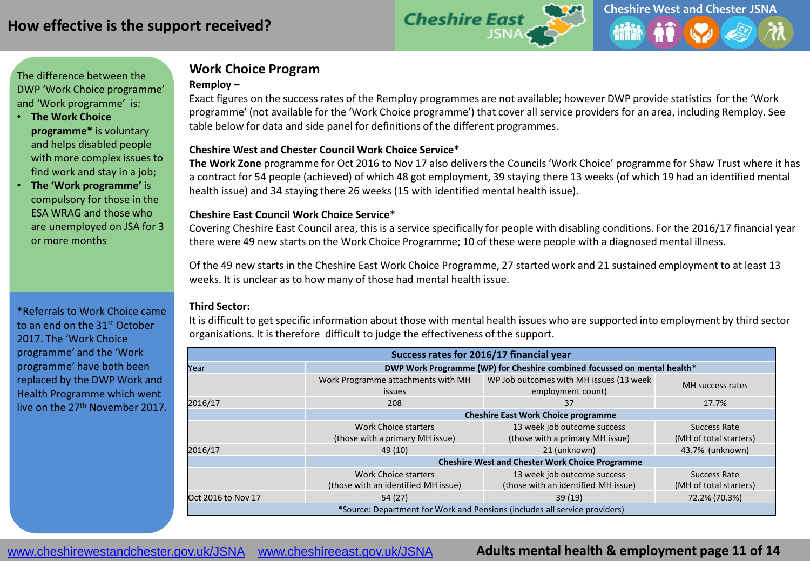

#### The difference between the DWP 'Work Choice programme' and 'Work programme' is:

- **The Work Choice programme\*** is voluntary and helps disabled people with more complex issues to find work and stay in a job;
- **The 'Work programme'** is compulsory for those in the ESA WRAG and those who are unemployed on JSA for 3 or more months

\*Referrals to Work Choice came to an end on the 31st October 2017. The 'Work Choice programme' and the 'Work programme' have both been replaced by the DWP Work and Health Programme which went live on the 27<sup>th</sup> November 2017.

# **Work Choice Program**

#### **Remploy –**

Exact figures on the success rates of the Remploy programmes are not available; however DWP provide statistics for the 'Work programme' (not available for the 'Work Choice programme') that cover all service providers for an area, including Remploy. See table below for data and side panel for definitions of the different programmes.

#### **Cheshire West and Chester Council Work Choice Service\***

**The Work Zone** programme for Oct 2016 to Nov 17 also delivers the Councils 'Work Choice' programme for Shaw Trust where it has a contract for 54 people (achieved) of which 48 got employment, 39 staying there 13 weeks (of which 19 had an identified mental health issue) and 34 staying there 26 weeks (15 with identified mental health issue).

#### **Cheshire East Council Work Choice Service\***

Covering Cheshire East Council area, this is a service specifically for people with disabling conditions. For the 2016/17 financial year there were 49 new starts on the Work Choice Programme; 10 of these were people with a diagnosed mental illness.

Of the 49 new starts in the Cheshire East Work Choice Programme, 27 started work and 21 sustained employment to at least 13 weeks. It is unclear as to how many of those had mental health issue.

#### **Third Sector:**

It is difficult to get specific information about those with mental health issues who are supported into employment by third sector organisations. It is therefore difficult to judge the effectiveness of the support.

| Success rates for 2016/17 financial year                                                                                                 |                                                                                                                           |                                                        |                                        |  |  |
|------------------------------------------------------------------------------------------------------------------------------------------|---------------------------------------------------------------------------------------------------------------------------|--------------------------------------------------------|----------------------------------------|--|--|
| Year                                                                                                                                     | DWP Work Programme (WP) for Cheshire combined focussed on mental health*                                                  |                                                        |                                        |  |  |
|                                                                                                                                          | WP Job outcomes with MH issues (13 week<br>Work Programme attachments with MH<br>employment count)<br><i>issues</i>       |                                                        | MH success rates                       |  |  |
| 2016/17                                                                                                                                  | 208                                                                                                                       | 37                                                     | 17.7%                                  |  |  |
|                                                                                                                                          |                                                                                                                           | <b>Cheshire East Work Choice programme</b>             |                                        |  |  |
|                                                                                                                                          | 13 week job outcome success<br>Work Choice starters<br>(those with a primary MH issue)<br>(those with a primary MH issue) |                                                        | Success Rate<br>(MH of total starters) |  |  |
| 2016/17                                                                                                                                  | 49(10)                                                                                                                    | 21 (unknown)                                           | 43.7% (unknown)                        |  |  |
|                                                                                                                                          |                                                                                                                           | <b>Cheshire West and Chester Work Choice Programme</b> |                                        |  |  |
| 13 week job outcome success<br><b>Work Choice starters</b><br>(those with an identified MH issue)<br>(those with an identified MH issue) |                                                                                                                           | Success Rate<br>(MH of total starters)                 |                                        |  |  |
| <b>Oct 2016 to Nov 17</b>                                                                                                                | 54(27)                                                                                                                    | 39(19)                                                 | 72.2% (70.3%)                          |  |  |
| *Source: Department for Work and Pensions (includes all service providers)                                                               |                                                                                                                           |                                                        |                                        |  |  |

www.cheshirewestandchester.gov.uk/JSNA [www.cheshireeast.gov.uk/JSNA](http://www.cheshireeast.gov.uk/JSNA)

# **Adults mental health & employment page 11 of 14**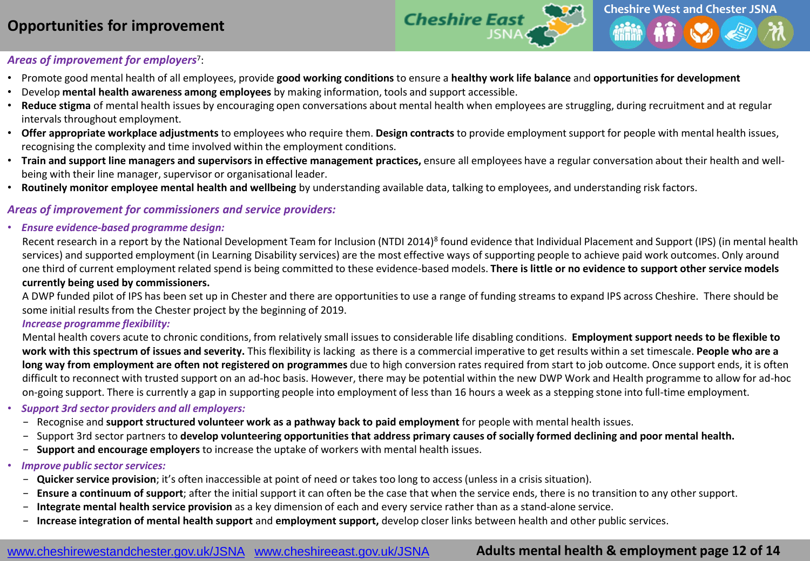# **Opportunities for improvement**



#### *Areas of improvement for employers*<sup>7</sup> :

- Promote good mental health of all employees, provide **good working conditions** to ensure a **healthy work life balance** and **opportunities for development**
- Develop **mental health awareness among employees** by making information, tools and support accessible.
- **Reduce stigma** of mental health issues by encouraging open conversations about mental health when employees are struggling, during recruitment and at regular intervals throughout employment.
- **Offer appropriate workplace adjustments** to employees who require them. **Design contracts** to provide employment support for people with mental health issues, recognising the complexity and time involved within the employment conditions.
- **Train and support line managers and supervisors in effective management practices,** ensure all employees have a regular conversation about their health and wellbeing with their line manager, supervisor or organisational leader.
- **Routinely monitor employee mental health and wellbeing** by understanding available data, talking to employees, and understanding risk factors.

#### *Areas of improvement for commissioners and service providers:*

• *Ensure evidence-based programme design:* 

Recent research in a report by the National Development Team for Inclusion (NTDI 2014)<sup>8</sup> found evidence that Individual Placement and Support (IPS) (in mental health services) and supported employment (in Learning Disability services) are the most effective ways of supporting people to achieve paid work outcomes. Only around one third of current employment related spend is being committed to these evidence-based models. **There is little or no evidence to support other service models currently being used by commissioners.**

A DWP funded pilot of IPS has been set up in Chester and there are opportunities to use a range of funding streams to expand IPS across Cheshire. There should be some initial results from the Chester project by the beginning of 2019.

#### *Increase programme flexibility:*

Mental health covers acute to chronic conditions, from relatively small issues to considerable life disabling conditions. **Employment support needs to be flexible to work with this spectrum of issues and severity.** This flexibility is lacking as there is a commercial imperative to get results within a set timescale. **People who are a long way from employment are often not registered on programmes** due to high conversion rates required from start to job outcome. Once support ends, it is often difficult to reconnect with trusted support on an ad-hoc basis. However, there may be potential within the new DWP Work and Health programme to allow for ad-hoc on-going support. There is currently a gap in supporting people into employment of less than 16 hours a week as a stepping stone into full-time employment.

#### • *Support 3rd sector providers and all employers:*

- − Recognise and **support structured volunteer work as a pathway back to paid employment** for people with mental health issues.
- − Support 3rd sector partners to **develop volunteering opportunities that address primary causes of socially formed declining and poor mental health.**
- − **Support and encourage employers** to increase the uptake of workers with mental health issues.

#### • *Improve public sector services:*

- **Quicker service provision**; it's often inaccessible at point of need or takes too long to access (unless in a crisis situation).
- − **Ensure a continuum of support**; after the initial support it can often be the case that when the service ends, there is no transition to any other support.
- − **Integrate mental health service provision** as a key dimension of each and every service rather than as a stand-alone service.
- − **Increase integration of mental health support** and **employment support,** develop closer links between health and other public services.

#### www.cheshirewestandchester.gov.uk/JSNA [www.cheshireeast.gov.uk/JSNA](http://www.cheshireeast.gov.uk/JSNA)

# **Adults mental health & employment page 12 of 14**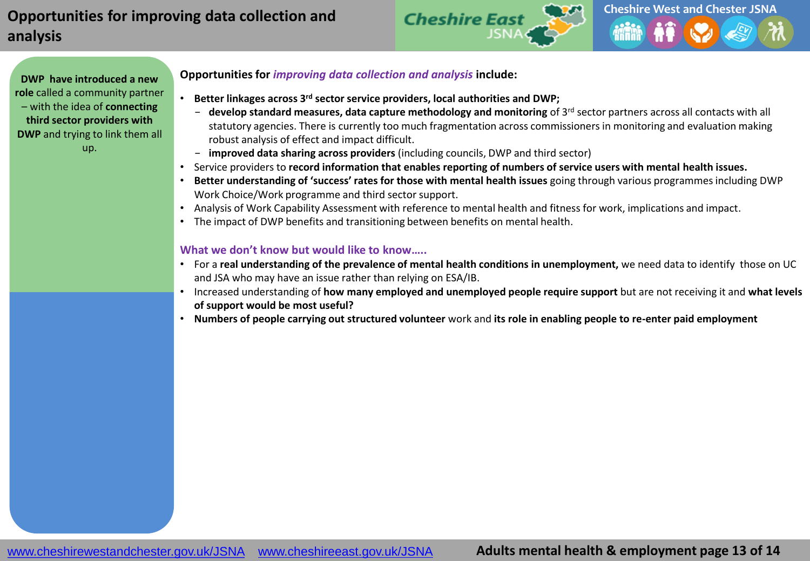# **Opportunities for improving data collection and analysis**



**DWP have introduced a new role** called a community partner – with the idea of **connecting third sector providers with DWP** and trying to link them all up.

#### **Opportunities for** *improving data collection and analysis* **include:**

- **Better linkages across 3 rd sector service providers, local authorities and DWP;**
	- − **develop standard measures, data capture methodology and monitoring** of 3 rd sector partners across all contacts with all statutory agencies. There is currently too much fragmentation across commissioners in monitoring and evaluation making robust analysis of effect and impact difficult.
	- − **improved data sharing across providers** (including councils, DWP and third sector)
- Service providers to **record information that enables reporting of numbers of service users with mental health issues.**
- **Better understanding of 'success' rates for those with mental health issues** going through various programmes including DWP Work Choice/Work programme and third sector support.
- Analysis of Work Capability Assessment with reference to mental health and fitness for work, implications and impact.
- The impact of DWP benefits and transitioning between benefits on mental health.

#### **What we don't know but would like to know…..**

- For a **real understanding of the prevalence of mental health conditions in unemployment,** we need data to identify those on UC and JSA who may have an issue rather than relying on ESA/IB.
- Increased understanding of **how many employed and unemployed people require support** but are not receiving it and **what levels of support would be most useful?**
- **Numbers of people carrying out structured volunteer** work and **its role in enabling people to re-enter paid employment**